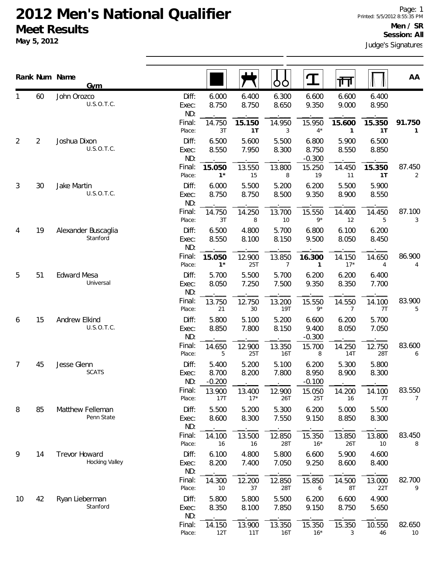|                |                | Rank Num Name<br>Gym            |                       |                            |                 | OÓ             | $\mathbf T$                | गंग                    |                | AA                     |
|----------------|----------------|---------------------------------|-----------------------|----------------------------|-----------------|----------------|----------------------------|------------------------|----------------|------------------------|
| 1              | 60             | John Orozco<br>U.S.O.T.C.       | Diff:<br>Exec:<br>ND: | 6.000<br>8.750             | 6.400<br>8.750  | 6.300<br>8.650 | 6.600<br>9.350             | 6.600<br>9.000         | 6.400<br>8.950 |                        |
|                |                |                                 | Final:<br>Place:      | 14.750<br>3T               | 15.150<br>1T    | 14.950<br>3    | 15.950<br>$4^{\star}$      | 15.600<br>$\mathbf{1}$ | 15.350<br>1T   | 91.750<br>$\mathbf{1}$ |
| 2              | $\overline{2}$ | Joshua Dixon<br>U.S.O.T.C.      | Diff:<br>Exec:<br>ND: | 6.500<br>8.550             | 5.600<br>7.950  | 5.500<br>8.300 | 6.800<br>8.750<br>$-0.300$ | 5.900<br>8.550         | 6.500<br>8.850 |                        |
|                |                |                                 | Final:<br>Place:      | 15.050<br>$1*$             | 13.550<br>15    | 13.800<br>8    | 15.250<br>19               | 14.450<br>11           | 15.350<br>1T   | 87.450<br>2            |
| $\mathfrak{Z}$ | 30             | Jake Martin<br>U.S.O.T.C.       | Diff:<br>Exec:<br>ND: | 6.000<br>8.750             | 5.500<br>8.750  | 5.200<br>8.500 | 6.200<br>9.350             | 5.500<br>8.900         | 5.900<br>8.550 |                        |
|                |                |                                 | Final:<br>Place:      | 14.750<br>3T               | 14.250<br>8     | 13.700<br>10   | 15.550<br>$9*$             | 14.400<br>12           | 14.450<br>5    | 87.100<br>3            |
| 4              | 19             | Alexander Buscaglia<br>Stanford | Diff:<br>Exec:<br>ND: | 6.500<br>8.550             | 4.800<br>8.100  | 5.700<br>8.150 | 6.800<br>9.500             | 6.100<br>8.050         | 6.200<br>8.450 |                        |
|                |                |                                 | Final:<br>Place:      | 15.050<br>$1^*$            | 12.900<br>25T   | 13.850<br>7    | 16.300<br>1                | 14.150<br>$17*$        | 14.650<br>4    | 86.900<br>4            |
| 5              | 51             | <b>Edward Mesa</b><br>Universal | Diff:<br>Exec:<br>ND: | 5.700<br>8.050             | 5.500<br>7.250  | 5.700<br>7.500 | 6.200<br>9.350             | 6.200<br>8.350         | 6.400<br>7.700 |                        |
|                |                |                                 | Final:<br>Place:      | 13.750<br>21               | 12.750<br>30    | 13.200<br>19T  | 15.550<br>$9*$             | 14.550<br>7            | 14.100<br>7T   | 83.900<br>5            |
| 6              | 15             | Andrew Elkind<br>U.S.O.T.C.     | Diff:<br>Exec:<br>ND: | 5.800<br>8.850             | 5.100<br>7.800  | 5.200<br>8.150 | 6.600<br>9.400<br>$-0.300$ | 6.200<br>8.050         | 5.700<br>7.050 |                        |
|                |                |                                 | Final:<br>Place:      | 14.650<br>5                | 12.900<br>25T   | 13.350<br>16T  | 15.700<br>8                | 14.250<br>14T          | 12.750<br>28T  | 83.600<br>6            |
| 7              | 45             | Jesse Glenn<br><b>SCATS</b>     | Diff:<br>Exec:<br>ND: | 5.400<br>8.700<br>$-0.200$ | 5.200<br>8.200  | 5.100<br>7.800 | 6.200<br>8.950<br>$-0.100$ | 5.300<br>8.900         | 5.800<br>8.300 |                        |
|                |                |                                 | Final:<br>Place:      | 13.900<br>17T              | 13.400<br>$17*$ | 12.900<br>26T  | 15.050<br>25T              | 14.200<br>16           | 14.100<br>7T   | 83.550<br>7            |
| 8              | 85             | Matthew Felleman<br>Penn State  | Diff:<br>Exec:<br>ND: | 5.500<br>8.600             | 5.200<br>8.300  | 5.300<br>7.550 | 6.200<br>9.150             | 5.000<br>8.850         | 5.500<br>8.300 |                        |
|                |                |                                 | Final:<br>Place:      | 14.100<br>16               | 13.500<br>16    | 12.850<br>28T  | 15.350<br>$16*$            | 13.850<br>26T          | 13.800<br>10   | 83.450<br>8            |
| 9              | 14             | Trevor Howard<br>Hocking Valley | Diff:<br>Exec:<br>ND: | 6.100<br>8.200             | 4.800<br>7.400  | 5.800<br>7.050 | 6.600<br>9.250             | 5.900<br>8.600         | 4.600<br>8.400 |                        |
|                |                |                                 | Final:<br>Place:      | 14.300<br>10               | 12.200<br>37    | 12.850<br>28T  | 15.850<br>6                | 14.500<br>8T           | 13.000<br>22T  | 82.700<br>9            |
| 10             | 42             | Ryan Lieberman<br>Stanford      | Diff:<br>Exec:<br>ND: | 5.800<br>8.350             | 5.800<br>8.100  | 5.500<br>7.850 | 6.200<br>9.150             | 6.600<br>8.750         | 4.900<br>5.650 |                        |
|                |                |                                 | Final:<br>Place:      | 14.150<br>12T              | 13.900<br>11T   | 13.350<br>16T  | 15.350<br>$16*$            | 15.350<br>3            | 10.550<br>46   | 82.650<br>10           |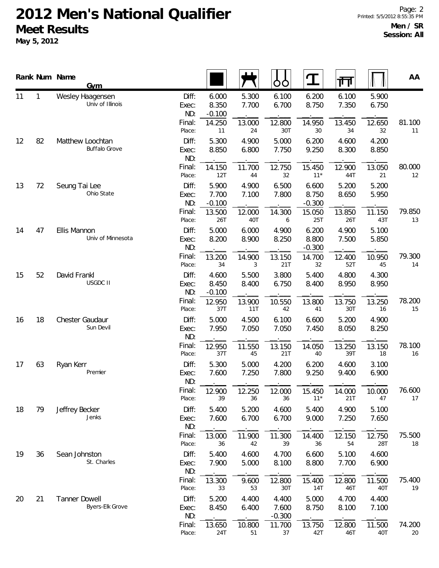|          |                          | Rank Num Name<br><b>Gym</b>              |                            |                            |                | OO                         |                            | गंग            |                | AA           |
|----------|--------------------------|------------------------------------------|----------------------------|----------------------------|----------------|----------------------------|----------------------------|----------------|----------------|--------------|
| 11       | $\mathbf{1}$             | Wesley Haagensen<br>Univ of Illinois     | Diff:<br>Exec:<br>ND:      | 6.000<br>8.350<br>$-0.100$ | 5.300<br>7.700 | 6.100<br>6.700             | 6.200<br>8.750             | 6.100<br>7.350 | 5.900<br>6.750 |              |
|          |                          |                                          | Final:<br>Place:           | 14.250<br>11               | 13.000<br>24   | 12.800<br>30T              | 14.950<br>30               | 13.450<br>34   | 12.650<br>32   | 81.100<br>11 |
| 12       | 82                       | Matthew Loochtan<br><b>Buffalo Grove</b> | Diff:<br>Exec:<br>ND:      | 5.300<br>8.850             | 4.900<br>6.800 | 5.000<br>7.750             | 6.200<br>9.250             | 4.600<br>8.300 | 4.200<br>8.850 |              |
|          |                          |                                          | Final:<br>Place:           | 14.150<br>12T              | 11.700<br>44   | 12.750<br>32               | 15.450<br>$11*$            | 12.900<br>44T  | 13.050<br>21   | 80.000<br>12 |
| 13       | 72                       | Seung Tai Lee<br>Ohio State              | Diff:<br>Exec:<br>ND:      | 5.900<br>7.700<br>$-0.100$ | 4.900<br>7.100 | 6.500<br>7.800             | 6.600<br>8.750<br>$-0.300$ | 5.200<br>8.650 | 5.200<br>5.950 |              |
|          |                          |                                          | Final:<br>Place:           | 13.500<br>26T              | 12.000<br>40T  | 14.300<br>6                | 15.050<br>25T              | 13.850<br>26T  | 11.150<br>43T  | 79.850<br>13 |
| 14<br>47 |                          | Ellis Mannon<br>Univ of Minnesota        | Diff:<br>Exec:<br>ND:      | 5.000<br>8.200             | 6.000<br>8.900 | 4.900<br>8.250             | 6.200<br>8.800<br>$-0.300$ | 4.900<br>7.500 | 5.100<br>5.850 |              |
|          |                          | Final:<br>Place:                         | 13.200<br>34               | 14.900<br>3                | 13.150<br>21T  | 14.700<br>32               | 12.400<br>52T              | 10.950<br>45   | 79.300<br>14   |              |
| 52<br>15 | David Frankl<br>USGDC II | Diff:<br>Exec:<br>ND:                    | 4.600<br>8.450<br>$-0.100$ | 5.500<br>8.400             | 3.800<br>6.750 | 5.400<br>8.400             | 4.800<br>8.950             | 4.300<br>8.950 |                |              |
|          |                          | Final:<br>Place:                         | 12.950<br>37T              | 13.900<br>11T              | 10.550<br>42   | 13.800<br>41               | 13.750<br>30T              | 13.250<br>16   | 78.200<br>15   |              |
| 16       | 18                       | Chester Gaudaur<br>Sun Devil             | Diff:<br>Exec:<br>ND:      | 5.000<br>7.950             | 4.500<br>7.050 | 6.100<br>7.050             | 6.600<br>7.450             | 5.200<br>8.050 | 4.900<br>8.250 |              |
|          |                          |                                          | Final:<br>Place:           | 12.950<br>37T              | 11.550<br>45   | 13.150<br>21T              | 14.050<br>40               | 13.250<br>39T  | 13.150<br>18   | 78.100<br>16 |
| 17       | 63                       | Ryan Kerr<br>Premier                     | Diff:<br>Exec:<br>ND:      | 5.300<br>7.600             | 5.000<br>7.250 | 4.200<br>7.800             | 6.200<br>9.250             | 4.600<br>9.400 | 3.100<br>6.900 |              |
|          |                          |                                          | Final:<br>Place:           | 12.900<br>39               | 12.250<br>36   | 12.000<br>36               | 15.450<br>$11*$            | 14.000<br>21T  | 10.000<br>47   | 76.600<br>17 |
| 18       | 79                       | Jeffrey Becker<br>Jenks                  | Diff:<br>Exec:<br>ND:      | 5.400<br>7.600             | 5.200<br>6.700 | 4.600<br>6.700             | 5.400<br>9.000             | 4.900<br>7.250 | 5.100<br>7.650 |              |
|          |                          |                                          | Final:<br>Place:           | 13.000<br>36               | 11.900<br>42   | 11.300<br>39               | 14.400<br>36               | 12.150<br>54   | 12.750<br>28T  | 75.500<br>18 |
| 19       | 36                       | Sean Johnston<br>St. Charles             | Diff:<br>Exec:<br>ND:      | 5.400<br>7.900             | 4.600<br>5.000 | 4.700<br>8.100             | 6.600<br>8.800             | 5.100<br>7.700 | 4.600<br>6.900 |              |
|          |                          |                                          | Final:<br>Place:           | 13.300<br>33               | 9.600<br>53    | 12.800<br>30T              | 15.400<br>14T              | 12.800<br>46T  | 11.500<br>40T  | 75.400<br>19 |
| 20       | 21                       | <b>Tanner Dowell</b><br>Byers-Elk Grove  | Diff:<br>Exec:<br>ND:      | 5.200<br>8.450             | 4.400<br>6.400 | 4.400<br>7.600<br>$-0.300$ | 5.000<br>8.750             | 4.700<br>8.100 | 4.400<br>7.100 |              |
|          |                          |                                          | Final:<br>Place:           | 13.650<br>24T              | 10.800<br>51   | 11.700<br>37               | 13.750<br>42T              | 12.800<br>46T  | 11.500<br>40T  | 74.200<br>20 |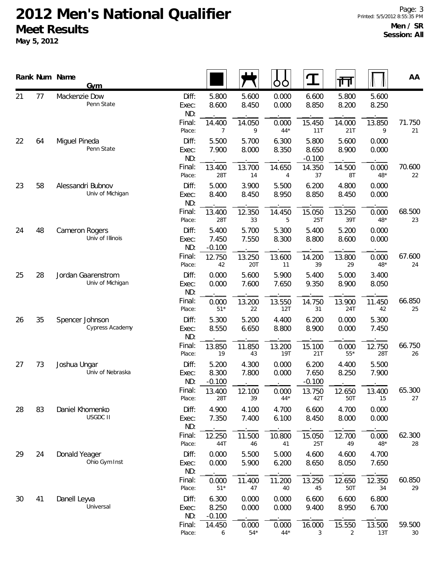|          |    | Rank Num Name<br><b>Gym</b>            |                       |                            |                       | OO             | I                          | 帀                        |                | AA                        |
|----------|----|----------------------------------------|-----------------------|----------------------------|-----------------------|----------------|----------------------------|--------------------------|----------------|---------------------------|
| 21       | 77 | Mackenzie Dow<br>Penn State            | Diff:<br>Exec:<br>ND: | 5.800<br>8.600             | 5.600<br>8.450        | 0.000<br>0.000 | 6.600<br>8.850             | 5.800<br>8.200           | 5.600<br>8.250 |                           |
|          |    |                                        | Final:<br>Place:      | 14.400<br>$\overline{7}$   | 14.050<br>9           | 0.000<br>$44*$ | 15.450<br>11T              | 14.000<br>21T            | 13.850<br>9    | 71.750<br>21              |
| 22       | 64 | Miguel Pineda<br>Penn State            | Diff:<br>Exec:<br>ND: | 5.500<br>7.900             | 5.700<br>8.000        | 6.300<br>8.350 | 5.800<br>8.650<br>$-0.100$ | 5.600<br>8.900           | 0.000<br>0.000 |                           |
|          |    |                                        | Final:<br>Place:      | 13.400<br>28T              | 13.700<br>14          | 14.650<br>4    | 14.350<br>37               | 14.500<br>8T             | 0.000<br>$48*$ | 70.600<br>22              |
| 58<br>23 |    | Alessandri Bubnov<br>Univ of Michigan  | Diff:<br>Exec:<br>ND: | 5.000<br>8.400             | 3.900<br>8.450        | 5.500<br>8.950 | 6.200<br>8.850             | 4.800<br>8.450           | 0.000<br>0.000 |                           |
|          |    |                                        | Final:<br>Place:      | 13.400<br>28T              | 12.350<br>33          | 14.450<br>5    | 15.050<br><b>25T</b>       | 13.250<br>39T            | 0.000<br>48*   | 68.500<br>23              |
| 24       | 48 | Cameron Rogers<br>Univ of Illinois     | Diff:<br>Exec:<br>ND: | 5.400<br>7.450<br>$-0.100$ | 5.700<br>7.550        | 5.300<br>8.300 | 5.400<br>8.800             | 5.200<br>8.600           | 0.000<br>0.000 |                           |
|          |    |                                        | Final:<br>Place:      | 12.750<br>42               | 13.250<br>20T         | 13.600<br>11   | 14.200<br>39               | 13.800<br>29             | 0.000<br>48*   | 67.600<br>24              |
| 25       | 28 | Jordan Gaarenstrom<br>Univ of Michigan | Diff:<br>Exec:<br>ND: | 0.000<br>0.000             | 5.600<br>7.600        | 5.900<br>7.650 | 5.400<br>9.350             | 5.000<br>8.900           | 3.400<br>8.050 |                           |
|          |    | Final:<br>Place:                       | 0.000<br>$51*$        | 13.200<br>22               | 13.550<br>12T         | 14.750<br>31   | 13.900<br>24T              | 11.450<br>42             | 66.850<br>25   |                           |
| 26       | 35 | Spencer Johnson<br>Cypress Academy     | Diff:<br>Exec:<br>ND: | 5.300<br>8.550             | 5.200<br>6.650        | 4.400<br>8.800 | 6.200<br>8.900             | 0.000<br>0.000           | 5.300<br>7.450 |                           |
|          |    |                                        | Final:<br>Place:      | 13.850<br>19               | 11.850<br>43          | 13.200<br>19T  | 15.100<br>21T              | 0.000<br>$55*$           | 12.750<br>28T  | 66.750<br>26              |
| 27       | 73 | Joshua Ungar<br>Univ of Nebraska       | Diff:<br>Exec:<br>ND: | 5.200<br>8.300<br>$-0.100$ | 4.300<br>7.800        | 0.000<br>0.000 | 6.200<br>7.650<br>$-0.100$ | 4.400<br>8.250           | 5.500<br>7.900 |                           |
|          |    |                                        | Final:<br>Place:      | 13.400<br>28T              | 12.100<br>39          | 0.000<br>$44*$ | 13.750<br>42T              | 12.650<br>50T            | 13.400<br>15   | 65.300<br>27              |
| 28       | 83 | Daniel Khomenko<br><b>USGDC II</b>     | Diff:<br>Exec:<br>ND: | 4.900<br>7.350             | 4.100<br>7.400        | 4.700<br>6.100 | 6.600<br>8.450             | 4.700<br>8.000           | 0.000<br>0.000 |                           |
|          |    |                                        | Final:<br>Place:      | 12.250<br>44T              | 11.500<br>46          | 10.800<br>41   | 15.050<br>25T              | 12.700<br>49             | 0.000<br>48*   | 62.300<br>28              |
| 29       | 24 | Donald Yeager<br>Ohio Gym Inst         | Diff:<br>Exec:<br>ND: | 0.000<br>0.000             | 5.500<br>5.900        | 5.000<br>6.200 | 4.600<br>8.650             | 4.600<br>8.050           | 4.700<br>7.650 |                           |
|          |    |                                        | Final:<br>Place:      | 0.000<br>$51*$             | 11.400<br>47          | 11.200<br>40   | 13.250<br>45               | 12.650<br>50T            | 12.350<br>34   | 60.850<br>29              |
| 30       | 41 | Danell Leyva<br>Universal              | Diff:<br>Exec:<br>ND: | 6.300<br>8.250<br>$-0.100$ | 0.000<br>0.000        | 0.000<br>0.000 | 6.600<br>9.400             | 6.600<br>8.950           | 6.800<br>6.700 |                           |
|          |    |                                        | Final:<br>Place:      | 14.450<br>6                | 0.000<br>$54^{\star}$ | 0.000<br>$44*$ | 16.000<br>3                | 15.550<br>$\overline{2}$ | 13.500<br>13T  | 59.500<br>30 <sup>°</sup> |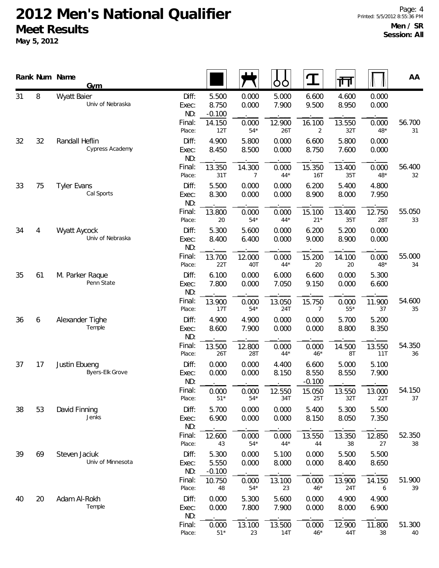**May 5, 2012**

|          | Rank Num Name                 | <b>Gym</b>                         |                                 |                                      |                         | OO                       |                            | गा                       |                         | AA           |
|----------|-------------------------------|------------------------------------|---------------------------------|--------------------------------------|-------------------------|--------------------------|----------------------------|--------------------------|-------------------------|--------------|
| 31       | 8                             | Wyatt Baier<br>Univ of Nebraska    | Diff:<br>Exec:<br>ND:<br>Final: | 5.500<br>8.750<br>$-0.100$<br>14.150 | 0.000<br>0.000<br>0.000 | 5.000<br>7.900<br>12.900 | 6.600<br>9.500<br>16.100   | 4.600<br>8.950<br>13.550 | 0.000<br>0.000<br>0.000 | 56.700       |
| 32       | 32                            | Randall Heflin<br>Cypress Academy  | Place:<br>Diff:<br>Exec:        | 12T<br>4.900<br>8.450                | $54*$<br>5.800<br>8.500 | 26T<br>0.000<br>0.000    | 2<br>6.600<br>8.750        | 32T<br>5.800<br>7.600    | $48*$<br>0.000<br>0.000 | 31           |
|          |                               |                                    | ND:<br>Final:<br>Place:         | 13.350<br>31T                        | 14.300<br>7             | 0.000<br>$44*$           | 15.350<br>16T              | 13.400<br>35T            | 0.000<br>$48*$          | 56.400<br>32 |
| 33       | 75                            | <b>Tyler Evans</b><br>Cal Sports   | Diff:<br>Exec:<br>ND:           | 5.500<br>8.300                       | 0.000<br>0.000          | 0.000<br>0.000           | 6.200<br>8.900             | 5.400<br>8.000           | 4.800<br>7.950          |              |
|          |                               |                                    | Final:<br>Place:                | 13.800<br>20                         | 0.000<br>$54*$          | 0.000<br>$44*$           | 15.100<br>$21*$            | 13.400<br>35T            | 12.750<br>28T           | 55.050<br>33 |
| 34       | $\overline{4}$                | Wyatt Aycock<br>Univ of Nebraska   | Diff:<br>Exec:<br>ND:           | 5.300<br>8.400                       | 5.600<br>6.400          | 0.000<br>0.000           | 6.200<br>9.000             | 5.200<br>8.900           | 0.000<br>0.000          |              |
|          |                               | Final:<br>Place:                   | 13.700<br>22T                   | 12.000<br>40T                        | 0.000<br>$44*$          | 15.200<br>20             | 14.100<br>20               | 0.000<br>$48*$           | 55.000<br>34            |              |
| 35<br>61 | M. Parker Raque<br>Penn State | Diff:<br>Exec:<br>ND:              | 6.100<br>7.800                  | 0.000<br>0.000                       | 6.000<br>7.050          | 6.600<br>9.150           | 0.000<br>0.000             | 5.300<br>6.600           |                         |              |
|          |                               | Final:<br>Place:                   | 13.900<br>17T                   | 0.000<br>$54*$                       | 13.050<br>24T           | 15.750<br>7              | 0.000<br>$55*$             | 11.900<br>37             | 54.600<br>35            |              |
| 36       | 6                             | Alexander Tighe<br>Temple          | Diff:<br>Exec:<br>ND:           | 4.900<br>8.600                       | 4.900<br>7.900          | 0.000<br>0.000           | 0.000<br>0.000             | 5.700<br>8.800           | 5.200<br>8.350          |              |
|          |                               |                                    | Final:<br>Place:                | 13.500<br>26T                        | 12.800<br>28T           | 0.000<br>$44*$           | 0.000<br>$46*$             | 14.500<br>8T             | 13.550<br>11T           | 54.350<br>36 |
| 37       | 17                            | Justin Ebueng<br>Byers-Elk Grove   | Diff:<br>Exec:<br>ND:           | 0.000<br>0.000                       | 0.000<br>0.000          | 4.400<br>8.150           | 6.600<br>8.550<br>$-0.100$ | 5.000<br>8.550           | 5.100<br>7.900          |              |
|          |                               |                                    | Final:<br>Place:                | 0.000<br>$51*$                       | 0.000<br>$54*$          | 12.550<br>34T            | 15.050<br>25T              | 13.550<br>32T            | 13.000<br>22T           | 54.150<br>37 |
| 38       | 53                            | David Finning<br>Jenks             | Diff:<br>Exec:<br>ND:           | 5.700<br>6.900                       | 0.000<br>0.000          | 0.000<br>0.000           | 5.400<br>8.150             | 5.300<br>8.050           | 5.500<br>7.350          |              |
|          |                               |                                    | Final:<br>Place:                | 12.600<br>43                         | 0.000<br>$54*$          | 0.000<br>$44*$           | 13.550<br>44               | 13.350<br>38             | 12.850<br>27            | 52.350<br>38 |
| 39       | 69                            | Steven Jaciuk<br>Univ of Minnesota | Diff:<br>Exec:<br>ND:           | 5.300<br>5.550<br>$-0.100$           | 0.000<br>0.000          | 5.100<br>8.000           | 0.000<br>0.000             | 5.500<br>8.400           | 5.500<br>8.650          |              |
|          |                               |                                    | Final:<br>Place:                | 10.750<br>48                         | 0.000<br>$54*$          | 13.100<br>23             | 0.000<br>$46*$             | 13.900<br>24T            | 14.150<br>6             | 51.900<br>39 |
| 40       | 20                            | Adam Al-Rokh<br>Temple             | Diff:<br>Exec:<br>ND:           | 0.000<br>0.000                       | 5.300<br>7.800          | 5.600<br>7.900           | 0.000<br>0.000             | 4.900<br>8.000           | 4.900<br>6.900          |              |
|          |                               |                                    | Final:                          | 0.000                                | 13.100                  | 13.500                   | 0.000                      | 12.900                   | 11.800                  | 51.300       |

Place: 51\* 23 14T 46\* 44T 38 40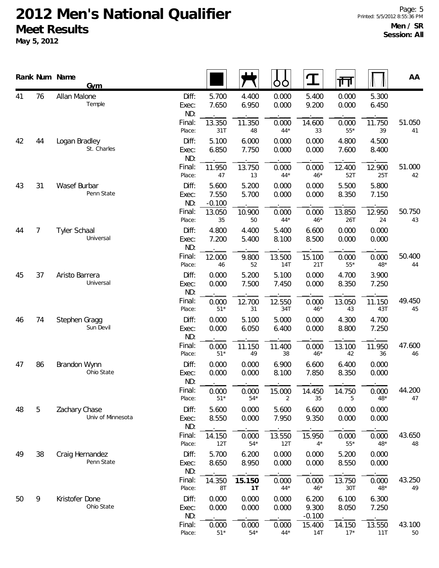**May 5, 2012**

|                      |                             | Rank Num Name<br><b>Gym</b>        |                       |                            |                | OO             | $\mathbf T$                | गा             |                | AA           |
|----------------------|-----------------------------|------------------------------------|-----------------------|----------------------------|----------------|----------------|----------------------------|----------------|----------------|--------------|
| 41                   | 76                          | Allan Malone<br>Temple             | Diff:<br>Exec:<br>ND: | 5.700<br>7.650             | 4.400<br>6.950 | 0.000<br>0.000 | 5.400<br>9.200             | 0.000<br>0.000 | 5.300<br>6.450 |              |
|                      |                             |                                    | Final:<br>Place:      | 13.350<br>31T              | 11.350<br>48   | 0.000<br>$44*$ | 14.600<br>33               | 0.000<br>$55*$ | 11.750<br>39   | 51.050<br>41 |
| 42                   | 44                          | Logan Bradley<br>St. Charles       | Diff:<br>Exec:<br>ND: | 5.100<br>6.850             | 6.000<br>7.750 | 0.000<br>0.000 | 0.000<br>0.000             | 4.800<br>7.600 | 4.500<br>8.400 |              |
|                      |                             |                                    | Final:<br>Place:      | 11.950<br>47               | 13.750<br>13   | 0.000<br>$44*$ | 0.000<br>$46*$             | 12.400<br>52T  | 12.900<br>25T  | 51.000<br>42 |
| 43                   | 31                          | Wasef Burbar<br>Penn State         | Diff:<br>Exec:<br>ND: | 5.600<br>7.550<br>$-0.100$ | 5.200<br>5.700 | 0.000<br>0.000 | 0.000<br>0.000             | 5.500<br>8.350 | 5.800<br>7.150 |              |
|                      |                             |                                    | Final:<br>Place:      | 13.050<br>35               | 10.900<br>50   | 0.000<br>$44*$ | 0.000<br>$46*$             | 13.850<br>26T  | 12.950<br>24   | 50.750<br>43 |
| $\overline{7}$<br>44 |                             | Tyler Schaal<br>Universal          | Diff:<br>Exec:<br>ND: | 4.800<br>7.200             | 4.400<br>5.400 | 5.400<br>8.100 | 6.600<br>8.500             | 0.000<br>0.000 | 0.000<br>0.000 |              |
|                      |                             |                                    | Final:<br>Place:      | 12.000<br>46               | 9.800<br>52    | 13.500<br>14T  | 15.100<br>21T              | 0.000<br>$55*$ | 0.000<br>$48*$ | 50.400<br>44 |
| 37<br>45             | Aristo Barrera<br>Universal | Diff:<br>Exec:<br>ND:              | 0.000<br>0.000        | 5.200<br>7.500             | 5.100<br>7.450 | 0.000<br>0.000 | 4.700<br>8.350             | 3.900<br>7.250 |                |              |
|                      |                             | Final:<br>Place:                   | 0.000<br>$51*$        | 12.700<br>31               | 12.550<br>34T  | 0.000<br>$46*$ | 13.050<br>43               | 11.150<br>43T  | 49.450<br>45   |              |
| 46                   | 74                          | Stephen Gragg<br>Sun Devil         | Diff:<br>Exec:<br>ND: | 0.000<br>0.000             | 5.100<br>6.050 | 5.000<br>6.400 | 0.000<br>0.000             | 4.300<br>8.800 | 4.700<br>7.250 |              |
|                      |                             |                                    | Final:<br>Place:      | 0.000<br>$51*$             | 11.150<br>49   | 11.400<br>38   | 0.000<br>$46*$             | 13.100<br>42   | 11.950<br>36   | 47.600<br>46 |
| 47                   | 86                          | Brandon Wynn<br>Ohio State         | Diff:<br>Exec:<br>ND: | 0.000<br>0.000             | 0.000<br>0.000 | 6.900<br>8.100 | 6.600<br>7.850             | 6.400<br>8.350 | 0.000<br>0.000 |              |
|                      |                             |                                    | Final:<br>Place:      | 0.000<br>$51*$             | 0.000<br>$54*$ | 15.000<br>2    | 14.450<br>35               | 14.750<br>5    | 0.000<br>48*   | 44.200<br>47 |
| 48                   | 5                           | Zachary Chase<br>Univ of Minnesota | Diff:<br>Exec:<br>ND: | 5.600<br>8.550             | 0.000<br>0.000 | 5.600<br>7.950 | 6.600<br>9.350             | 0.000<br>0.000 | 0.000<br>0.000 |              |
|                      |                             |                                    | Final:<br>Place:      | 14.150<br>12T              | 0.000<br>$54*$ | 13.550<br>12T  | 15.950<br>$4*$             | 0.000<br>$55*$ | 0.000<br>48*   | 43.650<br>48 |
| 49                   | 38                          | Craig Hernandez<br>Penn State      | Diff:<br>Exec:<br>ND: | 5.700<br>8.650             | 6.200<br>8.950 | 0.000<br>0.000 | 0.000<br>0.000             | 5.200<br>8.550 | 0.000<br>0.000 |              |
|                      |                             |                                    | Final:<br>Place:      | 14.350<br>8T               | 15.150<br>1T   | 0.000<br>$44*$ | 0.000<br>$46*$             | 13.750<br>30T  | 0.000<br>$48*$ | 43.250<br>49 |
| 50                   | 9                           | Kristofer Done<br>Ohio State       | Diff:<br>Exec:<br>ND: | 0.000<br>0.000             | 0.000<br>0.000 | 0.000<br>0.000 | 6.200<br>9.300<br>$-0.100$ | 6.100<br>8.050 | 6.300<br>7.250 |              |
|                      |                             |                                    | Final:                | 0.000                      | 0.000          | 0.000          | 15.400                     | 14.150         | 13.550         | 43.100       |

Place: 51\* 54\* 44\* 14T 17\* 11T 50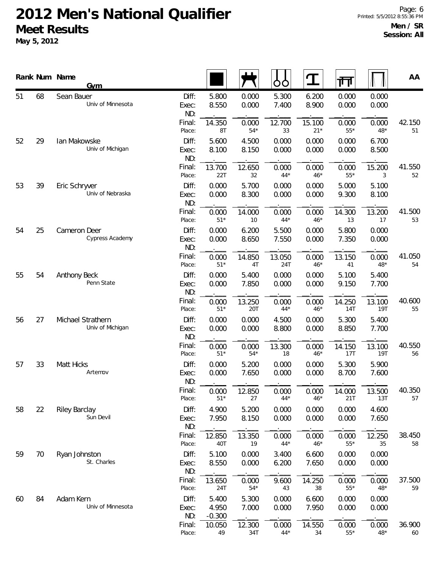**May 5, 2012**

|          |                            | Rank Num Name<br><b>Gym</b>           |                       |                            |                |                | $\mathbf T$     | 帀              |                | AA           |
|----------|----------------------------|---------------------------------------|-----------------------|----------------------------|----------------|----------------|-----------------|----------------|----------------|--------------|
| 51       | 68                         | Sean Bauer<br>Univ of Minnesota       | Diff:<br>Exec:<br>ND: | 5.800<br>8.550             | 0.000<br>0.000 | 5.300<br>7.400 | 6.200<br>8.900  | 0.000<br>0.000 | 0.000<br>0.000 |              |
|          |                            |                                       | Final:<br>Place:      | 14.350<br>8T               | 0.000<br>$54*$ | 12.700<br>33   | 15.100<br>$21*$ | 0.000<br>$55*$ | 0.000<br>$48*$ | 42.150<br>51 |
| 52       | 29                         | lan Makowske<br>Univ of Michigan      | Diff:<br>Exec:<br>ND: | 5.600<br>8.100             | 4.500<br>8.150 | 0.000<br>0.000 | 0.000<br>0.000  | 0.000<br>0.000 | 6.700<br>8.500 |              |
|          |                            |                                       | Final:<br>Place:      | 13.700<br>22T              | 12.650<br>32   | 0.000<br>$44*$ | 0.000<br>$46*$  | 0.000<br>$55*$ | 15.200<br>3    | 41.550<br>52 |
| 53       | 39                         | Eric Schryver<br>Univ of Nebraska     | Diff:<br>Exec:<br>ND: | 0.000<br>0.000             | 5.700<br>8.300 | 0.000<br>0.000 | 0.000<br>0.000  | 5.000<br>9.300 | 5.100<br>8.100 |              |
|          |                            |                                       | Final:<br>Place:      | 0.000<br>$51*$             | 14.000<br>10   | 0.000<br>$44*$ | 0.000<br>$46*$  | 14.300<br>13   | 13.200<br>17   | 41.500<br>53 |
| 54<br>25 |                            | Cameron Deer<br>Cypress Academy       | Diff:<br>Exec:<br>ND: | 0.000<br>0.000             | 6.200<br>8.650 | 5.500<br>7.550 | 0.000<br>0.000  | 5.800<br>7.350 | 0.000<br>0.000 |              |
|          |                            | Final:<br>Place:                      | 0.000<br>$51*$        | 14.850<br>4T               | 13.050<br>24T  | 0.000<br>$46*$ | 13.150<br>41    | 0.000<br>$48*$ | 41.050<br>54   |              |
| 55<br>54 | Anthony Beck<br>Penn State | Diff:<br>Exec:<br>ND:                 | 0.000<br>0.000        | 5.400<br>7.850             | 0.000<br>0.000 | 0.000<br>0.000 | 5.100<br>9.150  | 5.400<br>7.700 |                |              |
|          |                            |                                       | Final:<br>Place:      | 0.000<br>$51*$             | 13.250<br>20T  | 0.000<br>$44*$ | 0.000<br>$46*$  | 14.250<br>14T  | 13.100<br>19T  | 40.600<br>55 |
| 56       | 27                         | Michael Strathern<br>Univ of Michigan | Diff:<br>Exec:<br>ND: | 0.000<br>0.000             | 0.000<br>0.000 | 4.500<br>8.800 | 0.000<br>0.000  | 5.300<br>8.850 | 5.400<br>7.700 |              |
|          |                            |                                       | Final:<br>Place:      | 0.000<br>$51*$             | 0.000<br>$54*$ | 13.300<br>18   | 0.000<br>$46*$  | 14.150<br>17T  | 13.100<br>19T  | 40.550<br>56 |
| 57       | 33                         | Matt Hicks<br>Artemov                 | Diff:<br>Exec:<br>ND: | 0.000<br>0.000             | 5.200<br>7.650 | 0.000<br>0.000 | 0.000<br>0.000  | 5.300<br>8.700 | 5.900<br>7.600 |              |
|          |                            |                                       | Final:<br>Place:      | 0.000<br>$51*$             | 12.850<br>27   | 0.000<br>$44*$ | 0.000<br>$46*$  | 14.000<br>21T  | 13.500<br>13T  | 40.350<br>57 |
| 58       | 22                         | <b>Riley Barclay</b><br>Sun Devil     | Diff:<br>Exec:<br>ND: | 4.900<br>7.950             | 5.200<br>8.150 | 0.000<br>0.000 | 0.000<br>0.000  | 0.000<br>0.000 | 4.600<br>7.650 |              |
|          |                            |                                       | Final:<br>Place:      | 12.850<br>40T              | 13.350<br>19   | 0.000<br>$44*$ | 0.000<br>$46*$  | 0.000<br>$55*$ | 12.250<br>35   | 38.450<br>58 |
| 59       | 70                         | Ryan Johnston<br>St. Charles          | Diff:<br>Exec:<br>ND: | 5.100<br>8.550             | 0.000<br>0.000 | 3.400<br>6.200 | 6.600<br>7.650  | 0.000<br>0.000 | 0.000<br>0.000 |              |
|          |                            |                                       | Final:<br>Place:      | 13.650<br>24T              | 0.000<br>$54*$ | 9.600<br>43    | 14.250<br>38    | 0.000<br>$55*$ | 0.000<br>$48*$ | 37.500<br>59 |
| 60       | 84                         | Adam Kern<br>Univ of Minnesota        | Diff:<br>Exec:<br>ND: | 5.400<br>4.950<br>$-0.300$ | 5.300<br>7.000 | 0.000<br>0.000 | 6.600<br>7.950  | 0.000<br>0.000 | 0.000<br>0.000 |              |
|          |                            |                                       | Final:                | 10.050                     | 12.300         | 0.000          | 14.550          | 0.000          | 0.000          | 36.900       |

Place: 49 34T 44\* 34 55\* 48\* 60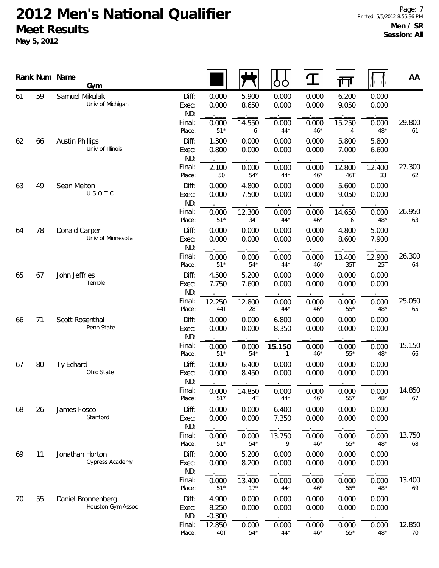**May 5, 2012**

|          |    | Rank Num Name<br><b>Gym</b>                |                       |                            |                 | OO                     | ${\bf T}$      | गि                    |                | AA           |
|----------|----|--------------------------------------------|-----------------------|----------------------------|-----------------|------------------------|----------------|-----------------------|----------------|--------------|
| 61       | 59 | Samuel Mikulak<br>Univ of Michigan         | Diff:<br>Exec:<br>ND: | 0.000<br>0.000             | 5.900<br>8.650  | 0.000<br>0.000         | 0.000<br>0.000 | 6.200<br>9.050        | 0.000<br>0.000 |              |
|          |    |                                            | Final:<br>Place:      | 0.000<br>$51*$             | 14.550<br>6     | 0.000<br>$44*$         | 0.000<br>$46*$ | 15.250<br>4           | 0.000<br>$48*$ | 29.800<br>61 |
| 62       | 66 | <b>Austin Phillips</b><br>Univ of Illinois | Diff:<br>Exec:<br>ND: | 1.300<br>0.800             | 0.000<br>0.000  | 0.000<br>0.000         | 0.000<br>0.000 | 5.800<br>7.000        | 5.800<br>6.600 |              |
|          |    |                                            | Final:<br>Place:      | 2.100<br>50                | 0.000<br>$54*$  | 0.000<br>$44*$         | 0.000<br>$46*$ | 12.800<br>46T         | 12.400<br>33   | 27.300<br>62 |
| 63       | 49 | Sean Melton<br>U.S.O.T.C.                  | Diff:<br>Exec:<br>ND: | 0.000<br>0.000             | 4.800<br>7.500  | 0.000<br>0.000         | 0.000<br>0.000 | 5.600<br>9.050        | 0.000<br>0.000 |              |
|          |    |                                            | Final:<br>Place:      | 0.000<br>$51*$             | 12.300<br>34T   | 0.000<br>$44*$         | 0.000<br>$46*$ | 14.650<br>6           | 0.000<br>$48*$ | 26.950<br>63 |
| 78<br>64 |    | Donald Carper<br>Univ of Minnesota         | Diff:<br>Exec:<br>ND: | 0.000<br>0.000             | 0.000<br>0.000  | 0.000<br>0.000         | 0.000<br>0.000 | 4.800<br>8.600        | 5.000<br>7.900 |              |
|          |    |                                            | Final:<br>Place:      | 0.000<br>$51*$             | 0.000<br>$54*$  | 0.000<br>$44*$         | 0.000<br>$46*$ | 13.400<br>35T         | 12.900<br>25T  | 26.300<br>64 |
| 65       | 67 | John Jeffries<br>Temple                    | Diff:<br>Exec:<br>ND: | 4.500<br>7.750             | 5.200<br>7.600  | 0.000<br>0.000         | 0.000<br>0.000 | 0.000<br>0.000        | 0.000<br>0.000 |              |
|          |    |                                            | Final:<br>Place:      | 12.250<br>44T              | 12.800<br>28T   | 0.000<br>$44*$         | 0.000<br>$46*$ | 0.000<br>$55^{\star}$ | 0.000<br>$48*$ | 25.050<br>65 |
| 66       | 71 | Scott Rosenthal<br>Penn State              | Diff:<br>Exec:<br>ND: | 0.000<br>0.000             | 0.000<br>0.000  | 6.800<br>8.350         | 0.000<br>0.000 | 0.000<br>0.000        | 0.000<br>0.000 |              |
|          |    |                                            | Final:<br>Place:      | 0.000<br>$51*$             | 0.000<br>$54*$  | 15.150<br>$\mathbf{1}$ | 0.000<br>$46*$ | 0.000<br>$55*$        | 0.000<br>$48*$ | 15.150<br>66 |
| 67       | 80 | Ty Echard<br>Ohio State                    | Diff:<br>Exec:<br>ND: | 0.000<br>0.000             | 6.400<br>8.450  | 0.000<br>0.000         | 0.000<br>0.000 | 0.000<br>0.000        | 0.000<br>0.000 |              |
|          |    |                                            | Final:<br>Place:      | 0.000<br>$51*$             | 14.850<br>4T    | 0.000<br>$44*$         | 0.000<br>$46*$ | 0.000<br>$55*$        | 0.000<br>$48*$ | 14.850<br>67 |
| 68       | 26 | James Fosco<br>Stanford                    | Diff:<br>Exec:<br>ND: | 0.000<br>0.000             | 0.000<br>0.000  | 6.400<br>7.350         | 0.000<br>0.000 | 0.000<br>0.000        | 0.000<br>0.000 |              |
|          |    |                                            | Final:<br>Place:      | 0.000<br>$51*$             | 0.000<br>$54*$  | 13.750<br>9            | 0.000<br>$46*$ | 0.000<br>$55*$        | 0.000<br>$48*$ | 13.750<br>68 |
| 69       | 11 | Jonathan Horton<br>Cypress Academy         | Diff:<br>Exec:<br>ND: | 0.000<br>0.000             | 5.200<br>8.200  | 0.000<br>0.000         | 0.000<br>0.000 | 0.000<br>0.000        | 0.000<br>0.000 |              |
|          |    |                                            | Final:<br>Place:      | 0.000<br>$51*$             | 13.400<br>$17*$ | 0.000<br>$44*$         | 0.000<br>$46*$ | 0.000<br>$55*$        | 0.000<br>$48*$ | 13.400<br>69 |
| 70       | 55 | Daniel Bronnenberg<br>Houston Gym Assoc    | Diff:<br>Exec:<br>ND: | 4.900<br>8.250<br>$-0.300$ | 0.000<br>0.000  | 0.000<br>0.000         | 0.000<br>0.000 | 0.000<br>0.000        | 0.000<br>0.000 |              |
|          |    |                                            | Final:                | 12.850                     | 0.000           | 0.000                  | 0.000          | 0.000                 | 0.000          | 12.850       |

Place: 40T 54\* 44\* 46\* 55\* 48\* 70